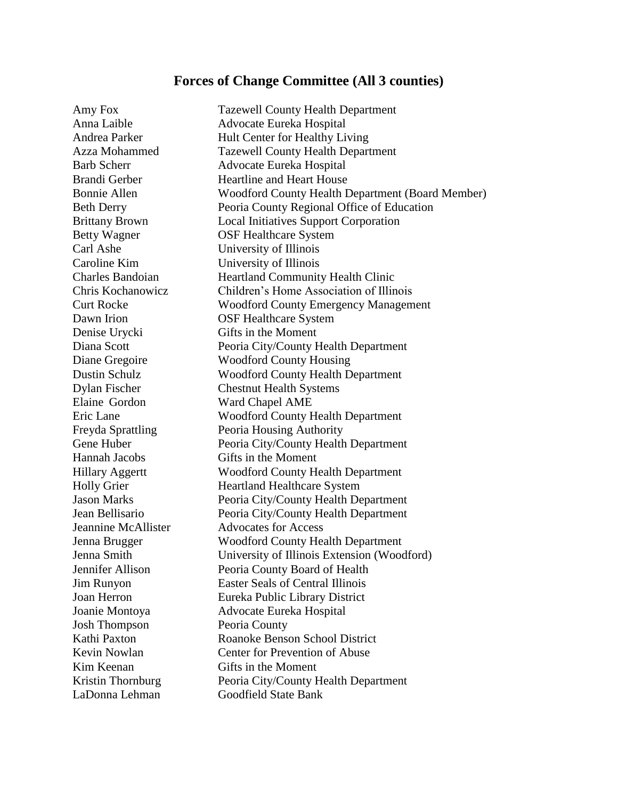## **Forces of Change Committee (All 3 counties)**

Amy Fox Tazewell County Health Department Carl Ashe University of Illinois Caroline Kim University of Illinois Denise Urycki Gifts in the Moment Elaine Gordon Ward Chapel AME Hannah Jacobs Gifts in the Moment Josh Thompson Peoria County Kim Keenan Gifts in the Moment

Anna Laible Advocate Eureka Hospital Andrea Parker Hult Center for Healthy Living Azza Mohammed Tazewell County Health Department Barb Scherr Advocate Eureka Hospital Brandi Gerber **Heartline and Heart House** Bonnie Allen Woodford County Health Department (Board Member) Beth Derry Peoria County Regional Office of Education Brittany Brown Local Initiatives Support Corporation Betty Wagner **OSF** Healthcare System Charles Bandoian Heartland Community Health Clinic Chris Kochanowicz Children's Home Association of Illinois Curt Rocke Woodford County Emergency Management Dawn Irion **OSF Healthcare System** Diana Scott Peoria City/County Health Department Diane Gregoire Woodford County Housing Dustin Schulz Woodford County Health Department Dylan Fischer Chestnut Health Systems Eric Lane Woodford County Health Department Freyda Sprattling Peoria Housing Authority Gene Huber Peoria City/County Health Department Hillary Aggertt Woodford County Health Department Holly Grier **Heartland Healthcare System** Jason Marks Peoria City/County Health Department Jean Bellisario Peoria City/County Health Department Jeannine McAllister Advocates for Access Jenna Brugger Woodford County Health Department Jenna Smith University of Illinois Extension (Woodford) Jennifer Allison Peoria County Board of Health Jim Runyon Easter Seals of Central Illinois Joan Herron Eureka Public Library District Joanie Montoya Advocate Eureka Hospital Kathi Paxton Roanoke Benson School District Kevin Nowlan Center for Prevention of Abuse Kristin Thornburg Peoria City/County Health Department LaDonna Lehman Goodfield State Bank